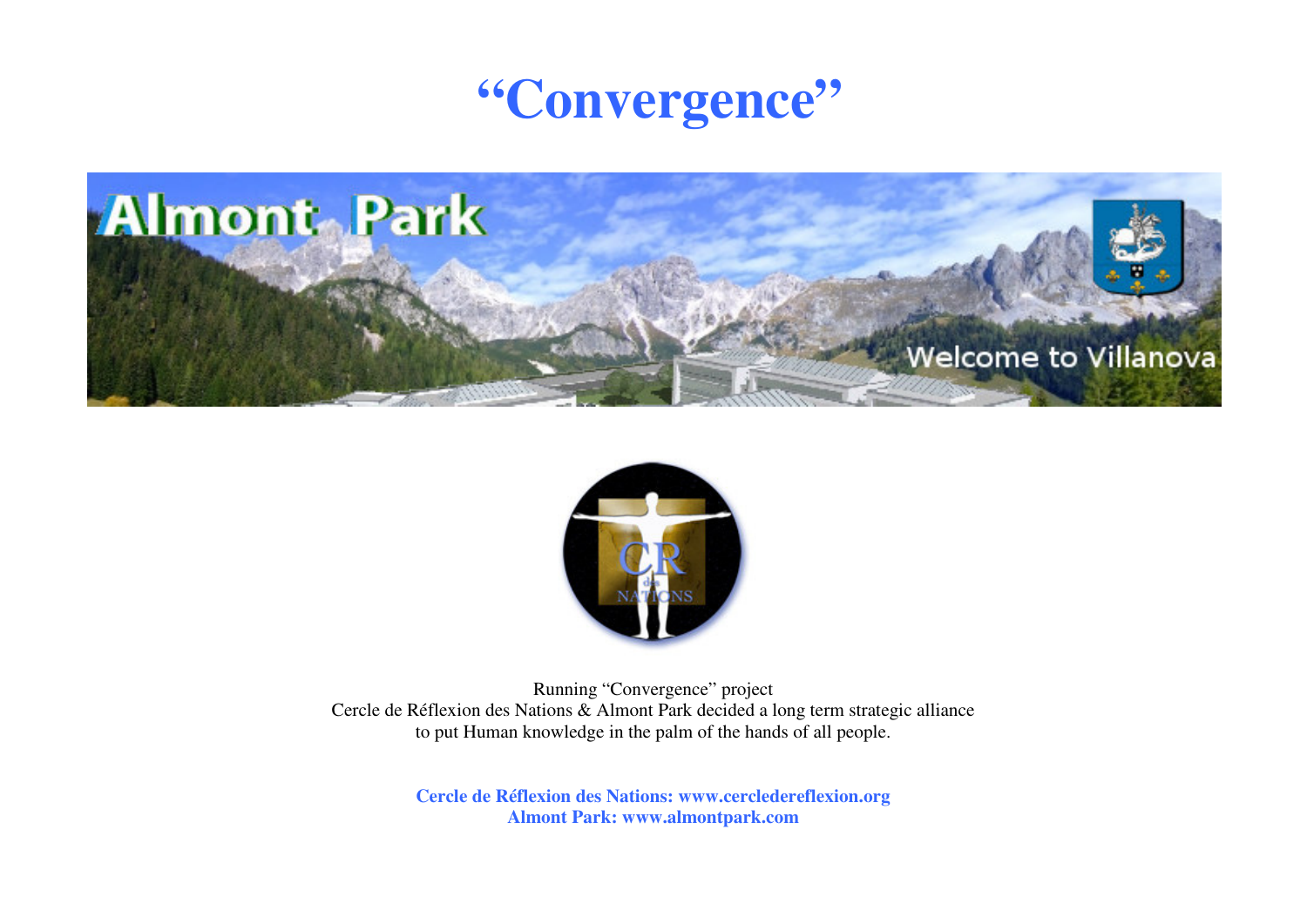



Running "Convergence" project Cercle de Réflexion des Nations & Almont Park decided a long term strategic alliance to put Human knowledge in the palm of the hands of all people.

> **Cercle de Réflexion des Nations: www.cercledereflexion.org Almont Park: www.almontpark.com**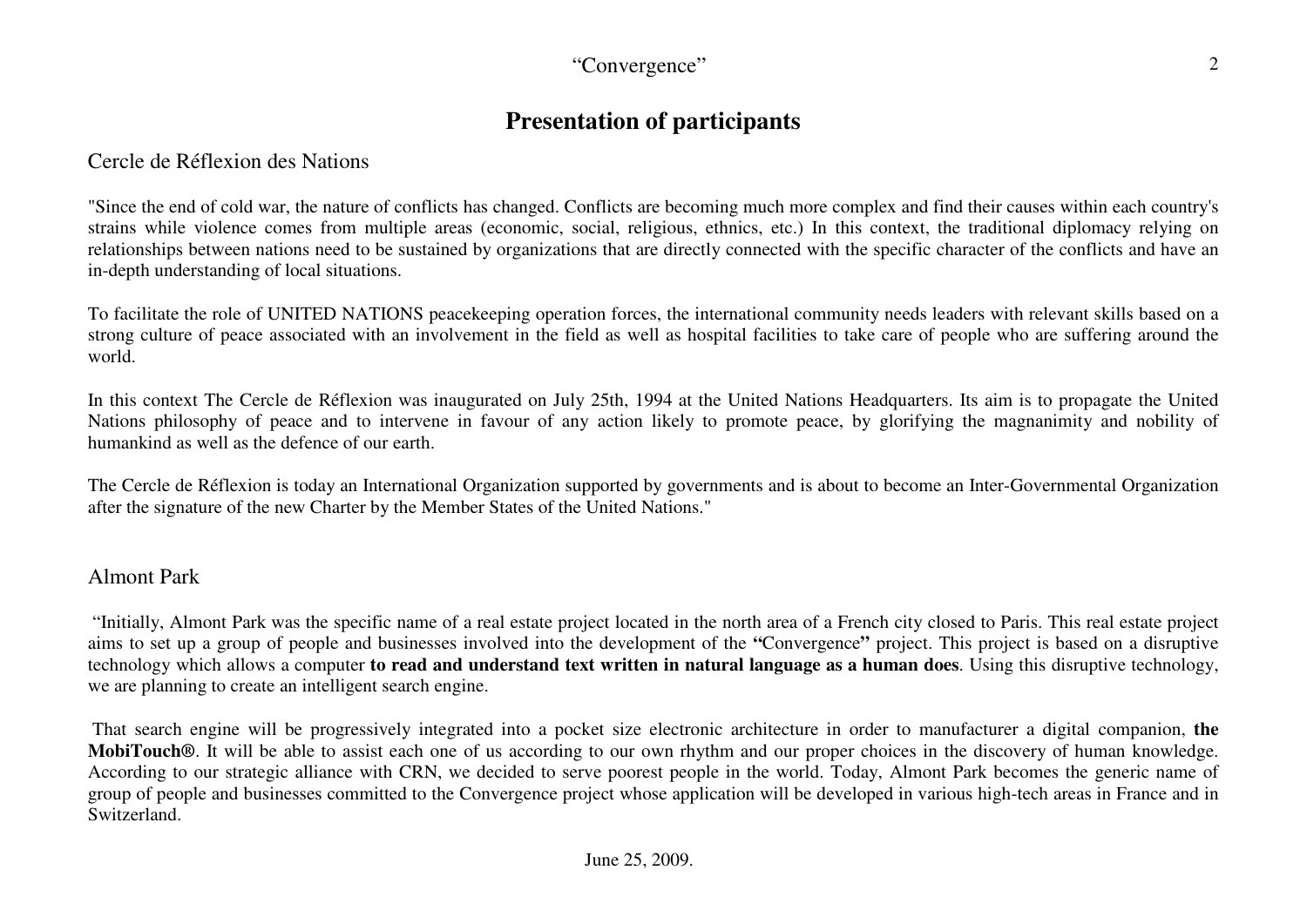# **Presentation of participants**

## Cercle de Réflexion des Nations

"Since the end of cold war, the nature of conflicts has changed. Conflicts are becoming much more complex and find their causes within each country's strains while violence comes from multiple areas (economic, social, religious, ethnics, etc.) In this context, the traditional diplomacy relying on relationships between nations need to be sustained by organizations that are directly connected with the specific character of the conflicts and have an in-depth understanding of local situations.

To facilitate the role of UNITED NATIONS peacekeeping operation forces, the international community needs leaders with relevant skills based on a strong culture of peace associated with an involvement in the field as well as hospital facilities to take care of people who are suffering around the world.

In this context The Cercle de Réflexion was inaugurated on July 25th, 1994 at the United Nations Headquarters. Its aim is to propagate the United Nations philosophy of peace and to intervene in favour of any action likely to promote peace, by glorifying the magnanimity and nobility of humankind as well as the defence of our earth.

The Cercle de Réflexion is today an International Organization supported by governments and is about to become an Inter-Governmental Organization after the signature of the new Charter by the Member States of the United Nations."

#### Almont Park

 "Initially, Almont Park was the specific name of a real estate project located in the north area of a French city closed to Paris. This real estate project aims to set up a group of people and businesses involved into the development of the **"**Convergence**"** project. This project is based on a disruptive technology which allows a computer **to read and understand text written in natural language as a human does**. Using this disruptive technology, we are planning to create an intelligent search engine.

 That search engine will be progressively integrated into a pocket size electronic architecture in order to manufacturer a digital companion, **the MobiTouch®**. It will be able to assist each one of us according to our own rhythm and our proper choices in the discovery of human knowledge. According to our strategic alliance with CRN, we decided to serve poorest people in the world. Today, Almont Park becomes the generic name of group of people and businesses committed to the Convergence project whose application will be developed in various high-tech areas in France and in Switzerland.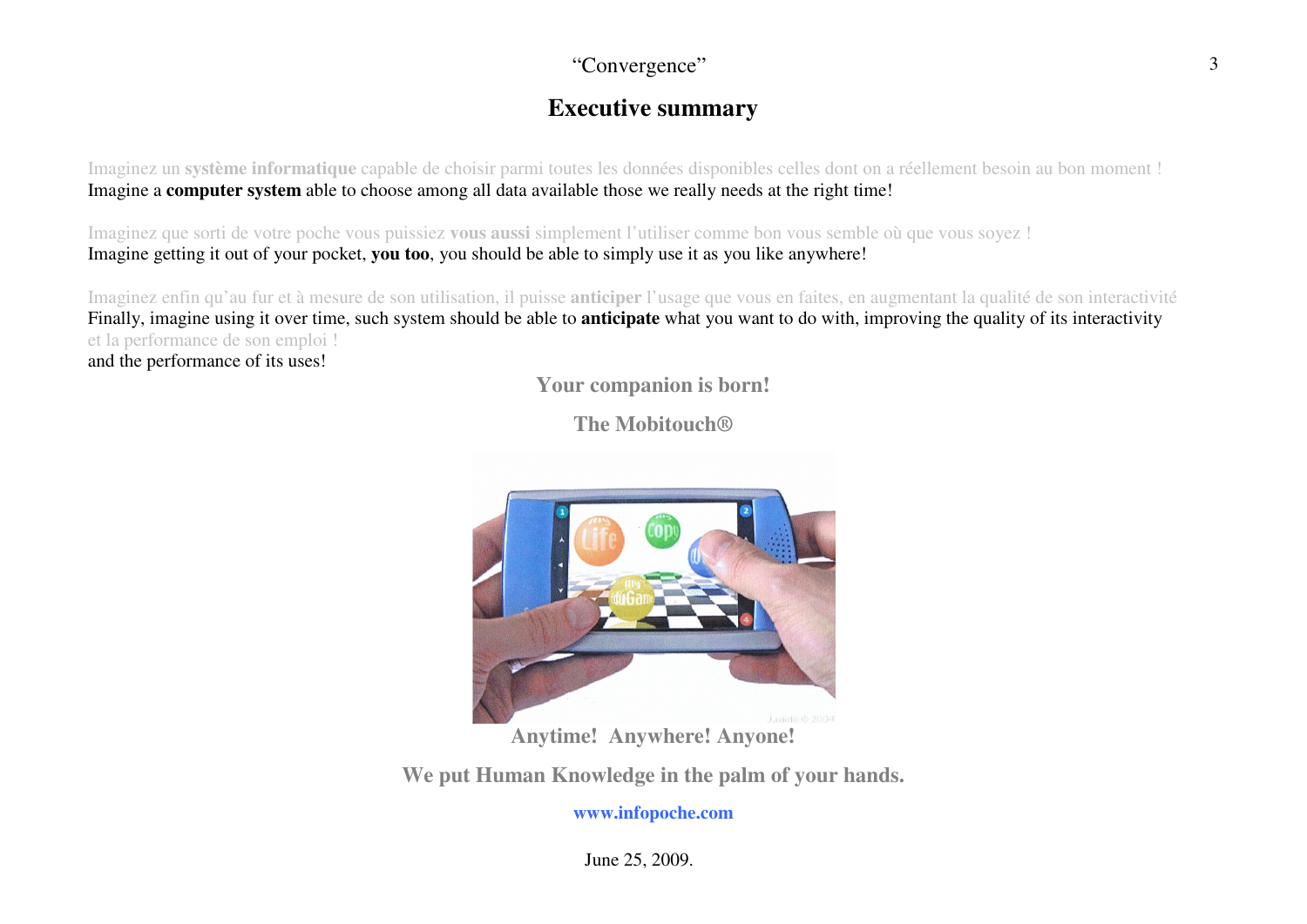# **Executive summary**

Imaginez un **système informatique** capable de choisir parmi toutes les données disponibles celles dont on a réellement besoin au bon moment ! Imagine a **computer system** able to choose among all data available those we really needs at the right time!

Imaginez que sorti de votre poche vous puissiez **vous aussi** simplement l'utiliser comme bon vous semble où que vous soyez ! Imagine getting it out of your pocket, **you too**, you should be able to simply use it as you like anywhere!

Imaginez enfin qu'au fur et à mesure de son utilisation, il puisse **anticiper** l'usage que vous en faites, en augmentant la qualité de son interactivité Finally, imagine using it over time, such system should be able to **anticipate** what you want to do with, improving the quality of its interactivity et la performance de son emploi ! and the performance of its uses!

**Your companion is born!** 

**The Mobitouch®** 



**Anytime! Anywhere! Anyone!** 

**We put Human Knowledge in the palm of your hands.** 

**www.infopoche.com** 

June 25, 2009.